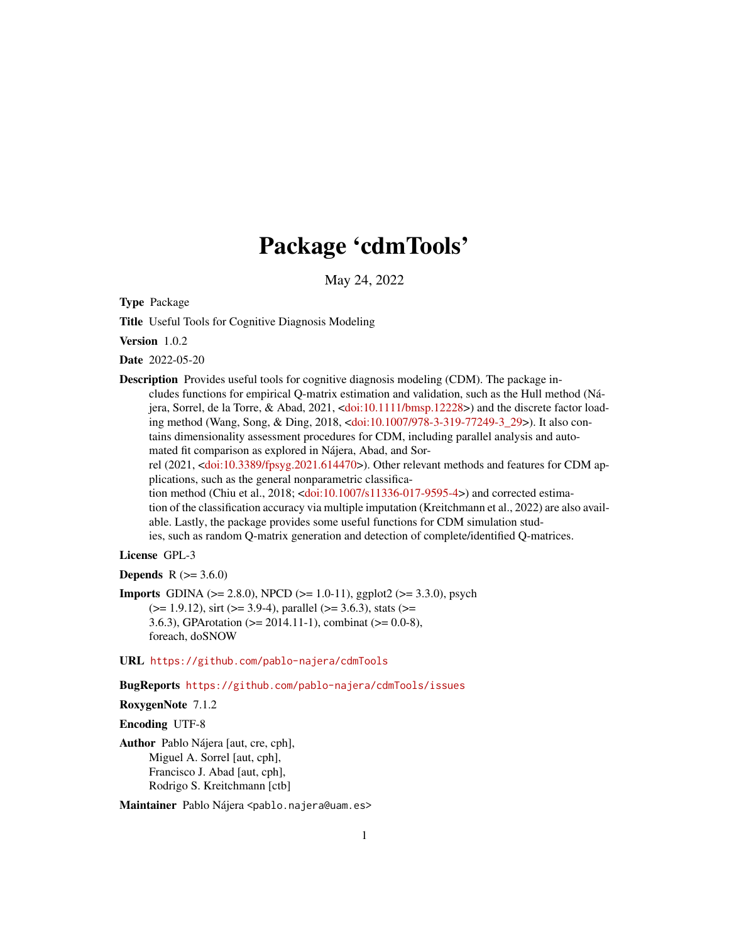## Package 'cdmTools'

May 24, 2022

Type Package

Title Useful Tools for Cognitive Diagnosis Modeling

Version 1.0.2

Date 2022-05-20

Description Provides useful tools for cognitive diagnosis modeling (CDM). The package includes functions for empirical Q-matrix estimation and validation, such as the Hull method (Nájera, Sorrel, de la Torre, & Abad, 2021, [<doi:10.1111/bmsp.12228>](https://doi.org/10.1111/bmsp.12228)) and the discrete factor loading method (Wang, Song, & Ding, 2018, [<doi:10.1007/978-3-319-77249-3\\_29>](https://doi.org/10.1007/978-3-319-77249-3_29)). It also contains dimensionality assessment procedures for CDM, including parallel analysis and automated fit comparison as explored in Nájera, Abad, and Sorrel (2021, [<doi:10.3389/fpsyg.2021.614470>](https://doi.org/10.3389/fpsyg.2021.614470)). Other relevant methods and features for CDM applications, such as the general nonparametric classification method (Chiu et al., 2018; [<doi:10.1007/s11336-017-9595-4>](https://doi.org/10.1007/s11336-017-9595-4)) and corrected estimation of the classification accuracy via multiple imputation (Kreitchmann et al., 2022) are also available. Lastly, the package provides some useful functions for CDM simulation studies, such as random Q-matrix generation and detection of complete/identified Q-matrices.

## License GPL-3

**Depends** R  $(>= 3.6.0)$ 

**Imports** GDINA ( $>= 2.8.0$ ), NPCD ( $>= 1.0-11$ ), ggplot2 ( $>= 3.3.0$ ), psych  $(>= 1.9.12)$ , sirt  $(>= 3.9-4)$ , parallel  $(>= 3.6.3)$ , stats  $(>= 1.9.12)$ 3.6.3), GPArotation ( $>= 2014.11$ -1), combinat ( $>= 0.0$ -8), foreach, doSNOW

## URL <https://github.com/pablo-najera/cdmTools>

BugReports <https://github.com/pablo-najera/cdmTools/issues>

```
RoxygenNote 7.1.2
```
Encoding UTF-8

Author Pablo Nájera [aut, cre, cph], Miguel A. Sorrel [aut, cph], Francisco J. Abad [aut, cph], Rodrigo S. Kreitchmann [ctb]

Maintainer Pablo Nájera <pablo.najera@uam.es>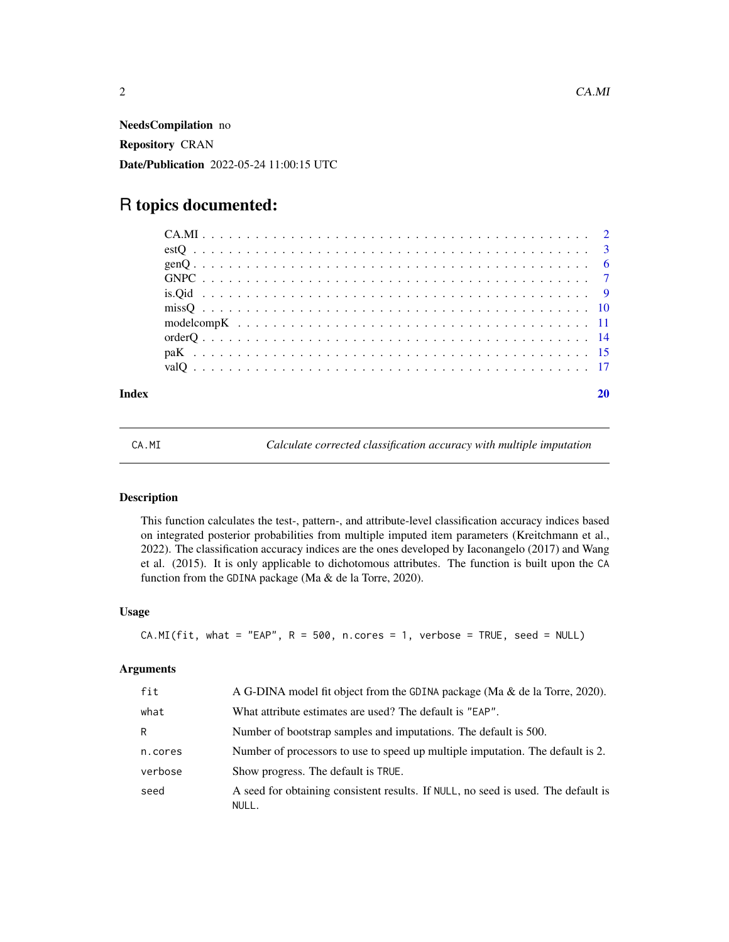<span id="page-1-0"></span>NeedsCompilation no Repository CRAN Date/Publication 2022-05-24 11:00:15 UTC

## R topics documented:

#### **Index** [20](#page-19-0)

CA.MI *Calculate corrected classification accuracy with multiple imputation*

## Description

This function calculates the test-, pattern-, and attribute-level classification accuracy indices based on integrated posterior probabilities from multiple imputed item parameters (Kreitchmann et al., 2022). The classification accuracy indices are the ones developed by Iaconangelo (2017) and Wang et al. (2015). It is only applicable to dichotomous attributes. The function is built upon the CA function from the GDINA package (Ma & de la Torre, 2020).

## Usage

```
CA.MI(fit, what = "EAP", R = 500, n.core = 1, verbose = TRUE, seed = NULL)
```

| fit     | A G-DINA model fit object from the GDINA package (Ma & de la Torre, 2020).                 |
|---------|--------------------------------------------------------------------------------------------|
| what    | What attribute estimates are used? The default is "EAP".                                   |
| R       | Number of bootstrap samples and imputations. The default is 500.                           |
| n.cores | Number of processors to use to speed up multiple imputation. The default is 2.             |
| verbose | Show progress. The default is TRUE.                                                        |
| seed    | A seed for obtaining consistent results. If NULL, no seed is used. The default is<br>NULL. |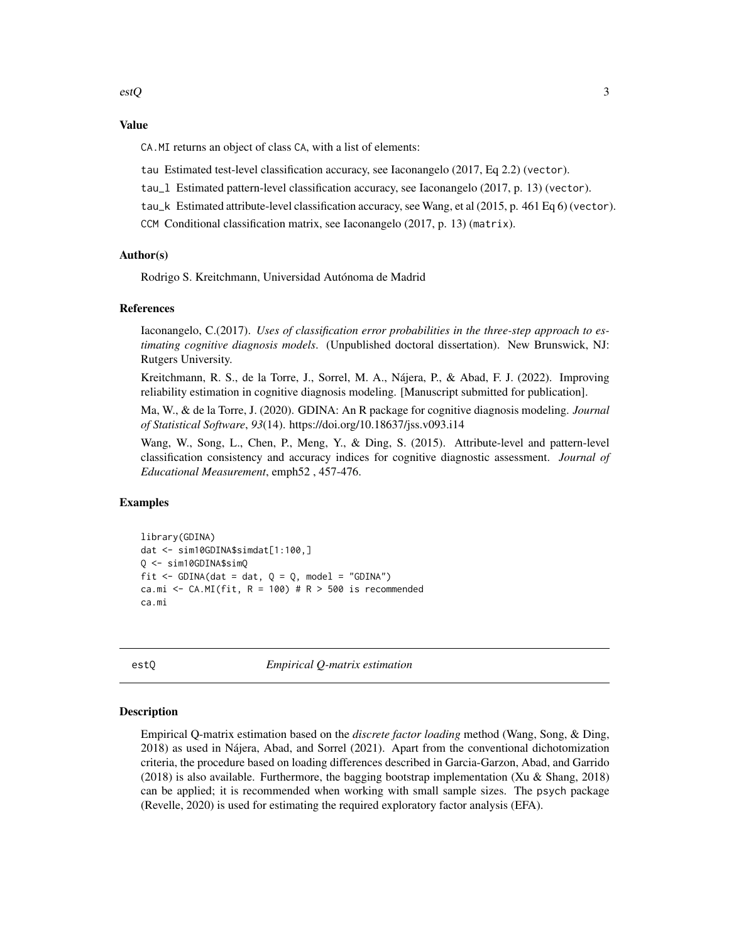## <span id="page-2-0"></span>Value

CA.MI returns an object of class CA, with a list of elements:

- tau Estimated test-level classification accuracy, see Iaconangelo (2017, Eq 2.2) (vector).
- tau\_l Estimated pattern-level classification accuracy, see Iaconangelo (2017, p. 13) (vector).
- tau\_k Estimated attribute-level classification accuracy, see Wang, et al (2015, p. 461 Eq 6) (vector).
- CCM Conditional classification matrix, see Iaconangelo (2017, p. 13) (matrix).

## Author(s)

Rodrigo S. Kreitchmann, Universidad Autónoma de Madrid

## References

Iaconangelo, C.(2017). *Uses of classification error probabilities in the three-step approach to estimating cognitive diagnosis models*. (Unpublished doctoral dissertation). New Brunswick, NJ: Rutgers University.

Kreitchmann, R. S., de la Torre, J., Sorrel, M. A., Nájera, P., & Abad, F. J. (2022). Improving reliability estimation in cognitive diagnosis modeling. [Manuscript submitted for publication].

Ma, W., & de la Torre, J. (2020). GDINA: An R package for cognitive diagnosis modeling. *Journal of Statistical Software*, *93*(14). https://doi.org/10.18637/jss.v093.i14

Wang, W., Song, L., Chen, P., Meng, Y., & Ding, S. (2015). Attribute-level and pattern-level classification consistency and accuracy indices for cognitive diagnostic assessment. *Journal of Educational Measurement*, emph52 , 457-476.

## Examples

```
library(GDINA)
dat <- sim10GDINA$simdat[1:100,]
Q <- sim10GDINA$simQ
fit \le - GDINA(dat = dat, Q = Q, model = "GDINA")
ca.mi <- CA.MI(fit, R = 100) # R > 500 is recommended
ca.mi
```
estQ *Empirical Q-matrix estimation*

#### Description

Empirical Q-matrix estimation based on the *discrete factor loading* method (Wang, Song, & Ding, 2018) as used in Nájera, Abad, and Sorrel (2021). Apart from the conventional dichotomization criteria, the procedure based on loading differences described in Garcia-Garzon, Abad, and Garrido (2018) is also available. Furthermore, the bagging bootstrap implementation (Xu & Shang, 2018) can be applied; it is recommended when working with small sample sizes. The psych package (Revelle, 2020) is used for estimating the required exploratory factor analysis (EFA).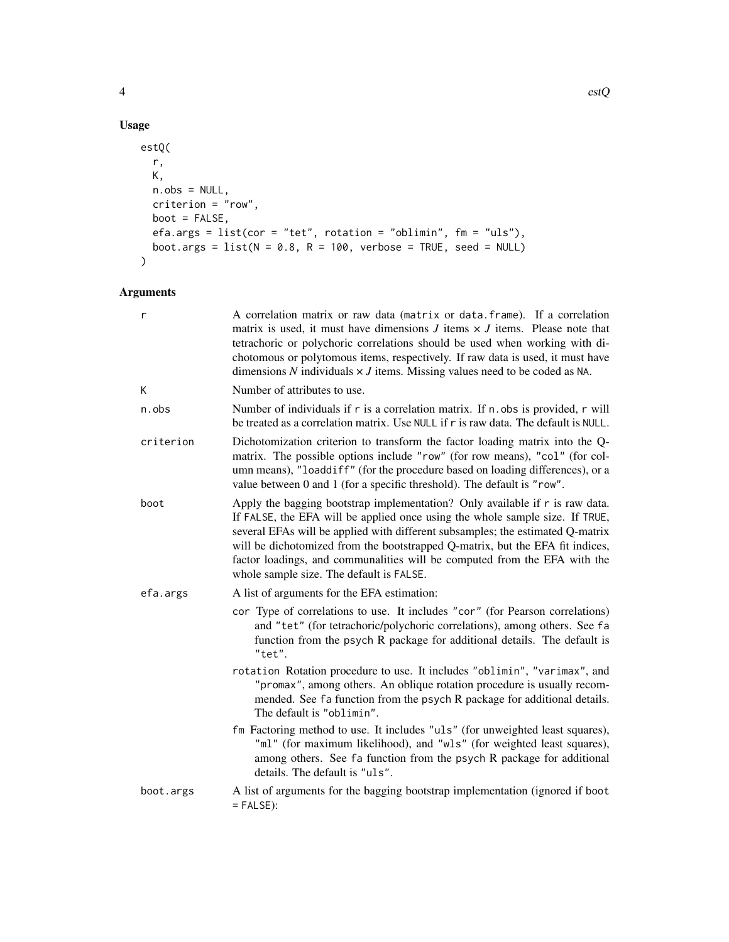```
estQ(
  r,
  K,
  n.obs = NULL,criterion = "row",
  boot = FALSE,efa.args = list(cor = "tet", rotation = "oblimin", fm = "uls"),boot.args = list(N = 0.8, R = 100, verbose = TRUE, seed = NULL)
\mathcal{L}
```

| r         | A correlation matrix or raw data (matrix or data.frame). If a correlation<br>matrix is used, it must have dimensions $J$ items $\times J$ items. Please note that<br>tetrachoric or polychoric correlations should be used when working with di-<br>chotomous or polytomous items, respectively. If raw data is used, it must have<br>dimensions $N$ individuals $\times J$ items. Missing values need to be coded as NA.                                |
|-----------|----------------------------------------------------------------------------------------------------------------------------------------------------------------------------------------------------------------------------------------------------------------------------------------------------------------------------------------------------------------------------------------------------------------------------------------------------------|
| К         | Number of attributes to use.                                                                                                                                                                                                                                                                                                                                                                                                                             |
| n.obs     | Number of individuals if r is a correlation matrix. If n. obs is provided, r will<br>be treated as a correlation matrix. Use NULL if r is raw data. The default is NULL.                                                                                                                                                                                                                                                                                 |
| criterion | Dichotomization criterion to transform the factor loading matrix into the Q-<br>matrix. The possible options include "row" (for row means), "col" (for col-<br>umn means), "loaddiff" (for the procedure based on loading differences), or a<br>value between 0 and 1 (for a specific threshold). The default is "row".                                                                                                                                  |
| boot      | Apply the bagging bootstrap implementation? Only available if r is raw data.<br>If FALSE, the EFA will be applied once using the whole sample size. If TRUE,<br>several EFAs will be applied with different subsamples; the estimated Q-matrix<br>will be dichotomized from the bootstrapped Q-matrix, but the EFA fit indices,<br>factor loadings, and communalities will be computed from the EFA with the<br>whole sample size. The default is FALSE. |
| efa.args  | A list of arguments for the EFA estimation:                                                                                                                                                                                                                                                                                                                                                                                                              |
|           | cor Type of correlations to use. It includes "cor" (for Pearson correlations)<br>and "tet" (for tetrachoric/polychoric correlations), among others. See fa<br>function from the psych R package for additional details. The default is<br>"tet".                                                                                                                                                                                                         |
|           | rotation Rotation procedure to use. It includes "oblimin", "varimax", and<br>"promax", among others. An oblique rotation procedure is usually recom-<br>mended. See fa function from the psych R package for additional details.<br>The default is "oblimin".                                                                                                                                                                                            |
|           | fm Factoring method to use. It includes "uls" (for unweighted least squares),<br>"ml" (for maximum likelihood), and "wls" (for weighted least squares),<br>among others. See fa function from the psych R package for additional<br>details. The default is "uls".                                                                                                                                                                                       |
| boot.args | A list of arguments for the bagging bootstrap implementation (ignored if boot<br>$=$ FALSE):                                                                                                                                                                                                                                                                                                                                                             |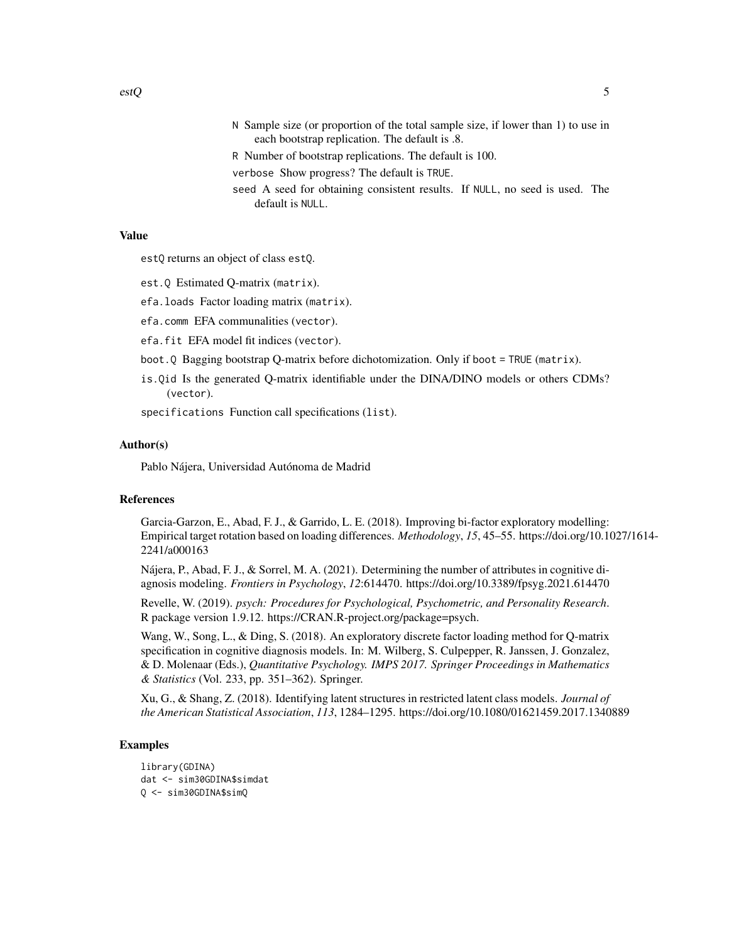- N Sample size (or proportion of the total sample size, if lower than 1) to use in each bootstrap replication. The default is .8.
- R Number of bootstrap replications. The default is 100.
- verbose Show progress? The default is TRUE.
- seed A seed for obtaining consistent results. If NULL, no seed is used. The default is NULL.

## Value

estQ returns an object of class estQ.

- est.Q Estimated Q-matrix (matrix).
- efa.loads Factor loading matrix (matrix).
- efa.comm EFA communalities (vector).
- efa.fit EFA model fit indices (vector).
- boot.Q Bagging bootstrap Q-matrix before dichotomization. Only if boot = TRUE (matrix).
- is.Qid Is the generated Q-matrix identifiable under the DINA/DINO models or others CDMs? (vector).

specifications Function call specifications (list).

## Author(s)

Pablo Nájera, Universidad Autónoma de Madrid

## References

Garcia-Garzon, E., Abad, F. J., & Garrido, L. E. (2018). Improving bi-factor exploratory modelling: Empirical target rotation based on loading differences. *Methodology*, *15*, 45–55. https://doi.org/10.1027/1614- 2241/a000163

Nájera, P., Abad, F. J., & Sorrel, M. A. (2021). Determining the number of attributes in cognitive diagnosis modeling. *Frontiers in Psychology*, *12*:614470. https://doi.org/10.3389/fpsyg.2021.614470

Revelle, W. (2019). *psych: Procedures for Psychological, Psychometric, and Personality Research*. R package version 1.9.12. https://CRAN.R-project.org/package=psych.

Wang, W., Song, L., & Ding, S. (2018). An exploratory discrete factor loading method for Q-matrix specification in cognitive diagnosis models. In: M. Wilberg, S. Culpepper, R. Janssen, J. Gonzalez, & D. Molenaar (Eds.), *Quantitative Psychology. IMPS 2017. Springer Proceedings in Mathematics & Statistics* (Vol. 233, pp. 351–362). Springer.

Xu, G., & Shang, Z. (2018). Identifying latent structures in restricted latent class models. *Journal of the American Statistical Association*, *113*, 1284–1295. https://doi.org/10.1080/01621459.2017.1340889

## Examples

```
library(GDINA)
dat <- sim30GDINA$simdat
Q <- sim30GDINA$simQ
```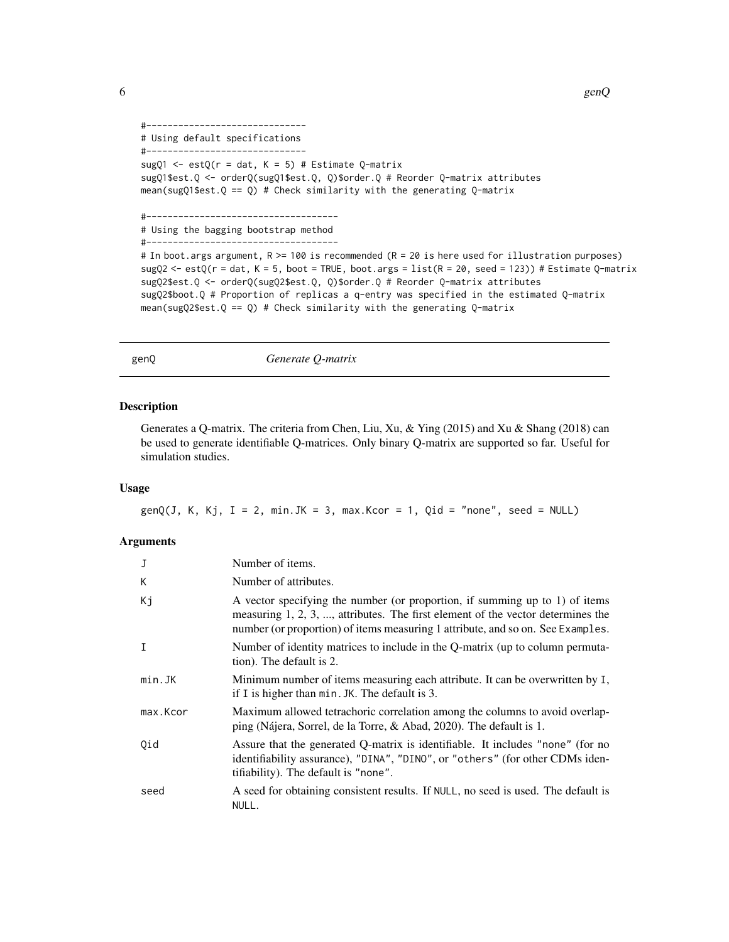$\epsilon$  6 genQ

```
#------------------------------
# Using default specifications
#------------------------------
sugQ1 <- estQ(r = dat, K = 5) # Estimate Q-matrix
sugQ1$est.Q <- orderQ(sugQ1$est.Q, Q)$order.Q # Reorder Q-matrix attributes
mean(sugQ1$est.Q == Q) # Check similarity with the generating Q-matrix
#------------------------------------
# Using the bagging bootstrap method
#------------------------------------
# In boot.args argument, R >= 100 is recommended (R = 20 is here used for illustration purposes)
sugQ2 < -  estQ(r = dat, K = 5, boot = TRUE, boot.args = list(R = 20, seed = 123)) # Estimate Q-matrixsugQ2$est.Q <- orderQ(sugQ2$est.Q, Q)$order.Q # Reorder Q-matrix attributes
sugQ2$boot.Q # Proportion of replicas a q-entry was specified in the estimated Q-matrix
mean(sugQ2$est.Q == Q) # Check similarity with the generating Q-matrix
```
genQ *Generate Q-matrix*

## Description

Generates a Q-matrix. The criteria from Chen, Liu, Xu, & Ying (2015) and Xu & Shang (2018) can be used to generate identifiable Q-matrices. Only binary Q-matrix are supported so far. Useful for simulation studies.

#### Usage

 $genQ(J, K, Kj, I = 2, min.JK = 3, max.Kcor = 1, Qid = "none", seed = NULL)$ 

| J        | Number of items.                                                                                                                                                                                                                                  |
|----------|---------------------------------------------------------------------------------------------------------------------------------------------------------------------------------------------------------------------------------------------------|
| K        | Number of attributes.                                                                                                                                                                                                                             |
| Кj       | A vector specifying the number (or proportion, if summing up to 1) of items<br>measuring 1, 2, 3, , attributes. The first element of the vector determines the<br>number (or proportion) of items measuring 1 attribute, and so on. See Examples. |
| I        | Number of identity matrices to include in the Q-matrix (up to column permuta-<br>tion). The default is 2.                                                                                                                                         |
| min.JK   | Minimum number of items measuring each attribute. It can be overwritten by I,<br>if I is higher than min. JK. The default is 3.                                                                                                                   |
| max.Kcor | Maximum allowed tetrachoric correlation among the columns to avoid overlap-<br>ping (Nájera, Sorrel, de la Torre, & Abad, 2020). The default is 1.                                                                                                |
| Oid      | Assure that the generated Q-matrix is identifiable. It includes "none" (for no<br>identifiability assurance), "DINA", "DINO", or "others" (for other CDMs iden-<br>tifiability). The default is "none".                                           |
| seed     | A seed for obtaining consistent results. If NULL, no seed is used. The default is<br>NULL.                                                                                                                                                        |

<span id="page-5-0"></span>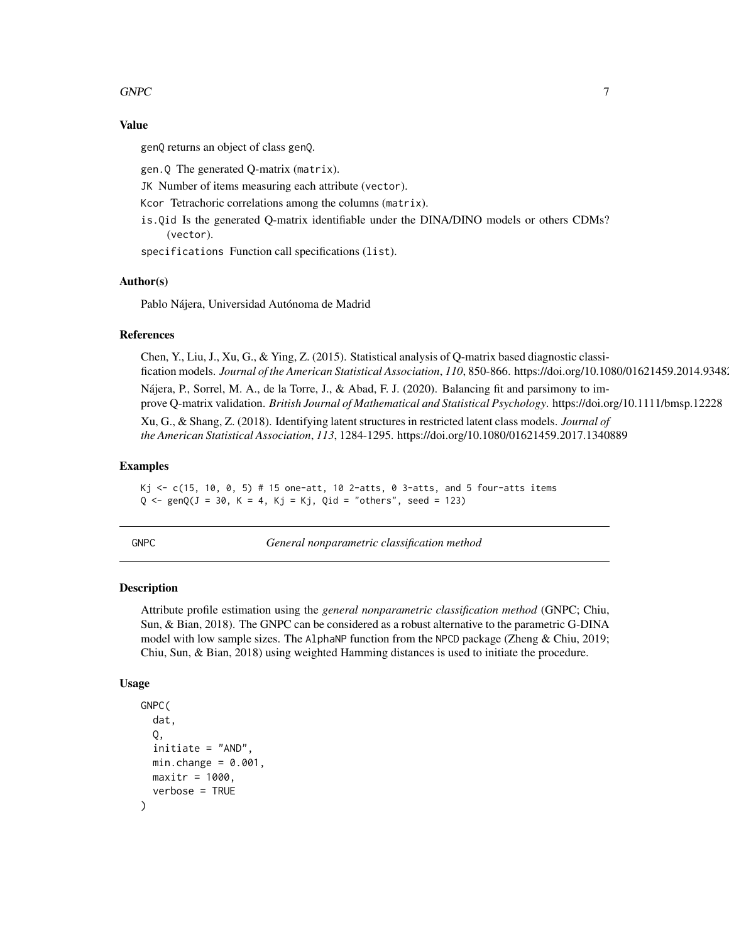## <span id="page-6-0"></span> $GNPC$  7

## Value

genQ returns an object of class genQ.

gen.Q The generated Q-matrix (matrix).

JK Number of items measuring each attribute (vector).

Kcor Tetrachoric correlations among the columns (matrix).

is.Qid Is the generated Q-matrix identifiable under the DINA/DINO models or others CDMs? (vector).

specifications Function call specifications (list).

#### Author(s)

Pablo Nájera, Universidad Autónoma de Madrid

## References

Chen, Y., Liu, J., Xu, G., & Ying, Z. (2015). Statistical analysis of Q-matrix based diagnostic classification models. *Journal of the American Statistical Association*, *110*, 850-866. https://doi.org/10.1080/01621459.2014.934827

Nájera, P., Sorrel, M. A., de la Torre, J., & Abad, F. J. (2020). Balancing fit and parsimony to improve Q-matrix validation. *British Journal of Mathematical and Statistical Psychology*. https://doi.org/10.1111/bmsp.12228

Xu, G., & Shang, Z. (2018). Identifying latent structures in restricted latent class models. *Journal of the American Statistical Association*, *113*, 1284-1295. https://doi.org/10.1080/01621459.2017.1340889

#### Examples

Kj <- c(15, 10, 0, 5) # 15 one-att, 10 2-atts, 0 3-atts, and 5 four-atts items  $Q \leq -$  gen $Q(J = 30, K = 4, Kj = Kj, Qid = "others", seed = 123)$ 

GNPC *General nonparametric classification method*

## Description

Attribute profile estimation using the *general nonparametric classification method* (GNPC; Chiu, Sun, & Bian, 2018). The GNPC can be considered as a robust alternative to the parametric G-DINA model with low sample sizes. The AlphaNP function from the NPCD package (Zheng & Chiu, 2019; Chiu, Sun, & Bian, 2018) using weighted Hamming distances is used to initiate the procedure.

#### Usage

```
GNPC(
  dat,
  Q,
  initiate = "AND",
 min.change = 0.001,
 maxitr = 1000,
  verbose = TRUE
)
```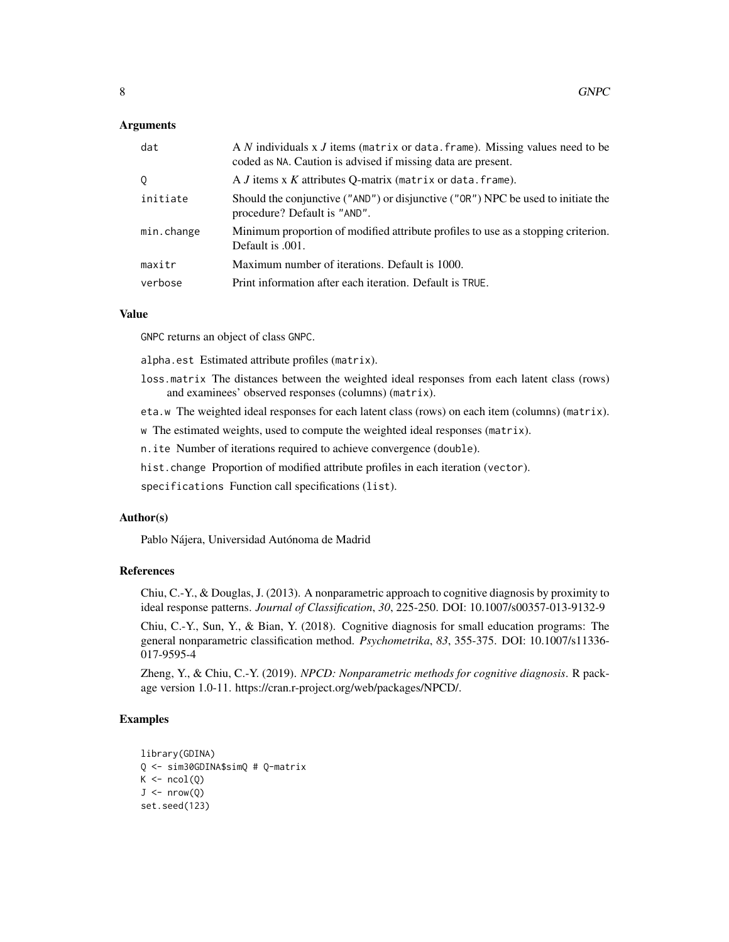## Arguments

| dat        | A N individuals x J items (matrix or data. frame). Missing values need to be<br>coded as NA. Caution is advised if missing data are present. |
|------------|----------------------------------------------------------------------------------------------------------------------------------------------|
| 0          | A $J$ items $x K$ attributes Q-matrix (matrix or data. frame).                                                                               |
| initiate   | Should the conjunctive ("AND") or disjunctive ("OR") NPC be used to initiate the<br>procedure? Default is "AND".                             |
| min.change | Minimum proportion of modified attribute profiles to use as a stopping criterion.<br>Default is .001.                                        |
| maxitr     | Maximum number of iterations. Default is 1000.                                                                                               |
| verbose    | Print information after each iteration. Default is TRUE.                                                                                     |

## Value

GNPC returns an object of class GNPC.

alpha.est Estimated attribute profiles (matrix).

- loss.matrix The distances between the weighted ideal responses from each latent class (rows) and examinees' observed responses (columns) (matrix).
- eta.w The weighted ideal responses for each latent class (rows) on each item (columns) (matrix).
- w The estimated weights, used to compute the weighted ideal responses (matrix).
- n.ite Number of iterations required to achieve convergence (double).
- hist.change Proportion of modified attribute profiles in each iteration (vector).
- specifications Function call specifications (list).

## Author(s)

Pablo Nájera, Universidad Autónoma de Madrid

## References

Chiu, C.-Y., & Douglas, J. (2013). A nonparametric approach to cognitive diagnosis by proximity to ideal response patterns. *Journal of Classification*, *30*, 225-250. DOI: 10.1007/s00357-013-9132-9

Chiu, C.-Y., Sun, Y., & Bian, Y. (2018). Cognitive diagnosis for small education programs: The general nonparametric classification method. *Psychometrika*, *83*, 355-375. DOI: 10.1007/s11336- 017-9595-4

Zheng, Y., & Chiu, C.-Y. (2019). *NPCD: Nonparametric methods for cognitive diagnosis*. R package version 1.0-11. https://cran.r-project.org/web/packages/NPCD/.

## Examples

```
library(GDINA)
Q <- sim30GDINA$simQ # Q-matrix
K \leftarrow \text{ncol}(Q)J \leftarrow \text{nrow}(Q)set.seed(123)
```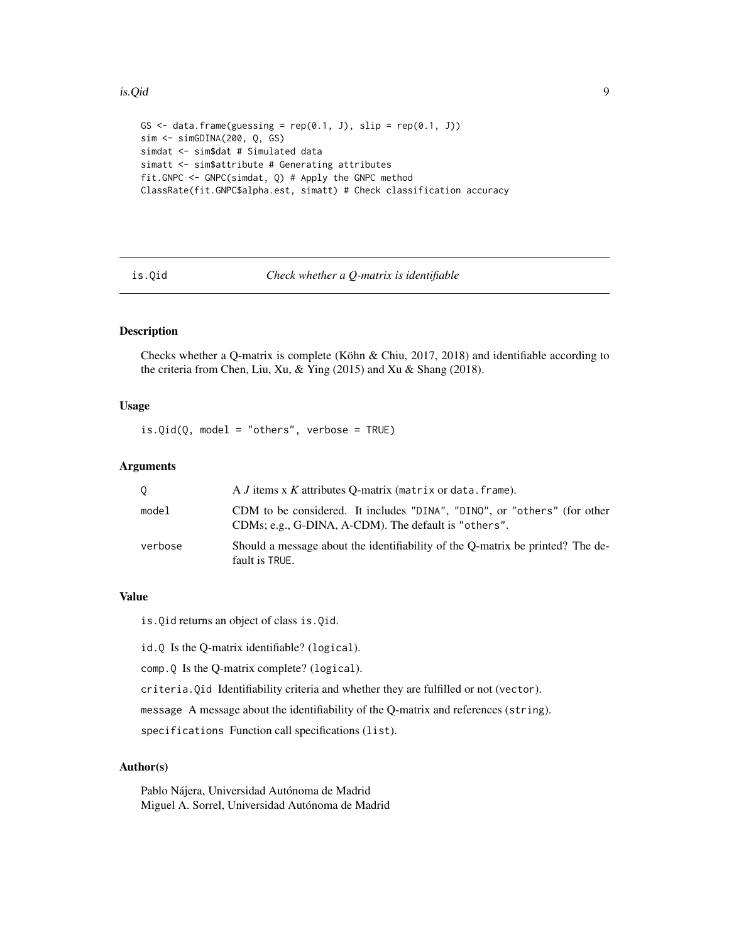#### <span id="page-8-0"></span>is.Qid 9

```
GS \le data.frame(guessing = rep(0.1, J), slip = rep(0.1, J))
sim <- simGDINA(200, Q, GS)
simdat <- sim$dat # Simulated data
simatt <- sim$attribute # Generating attributes
fit.GNPC <- GNPC(simdat, Q) # Apply the GNPC method
ClassRate(fit.GNPC$alpha.est, simatt) # Check classification accuracy
```
is.Qid *Check whether a Q-matrix is identifiable*

## Description

Checks whether a Q-matrix is complete (Köhn & Chiu, 2017, 2018) and identifiable according to the criteria from Chen, Liu, Xu, & Ying (2015) and Xu & Shang (2018).

## Usage

 $is.Qid(Q, model = "others", verbose = TRUE)$ 

## Arguments

| 0       | A <i>J</i> items x <i>K</i> attributes O-matrix (matrix or data. frame).                                                         |
|---------|----------------------------------------------------------------------------------------------------------------------------------|
| model   | CDM to be considered. It includes "DINA", "DINO", or "others" (for other<br>CDMs; e.g., G-DINA, A-CDM). The default is "others". |
| verbose | Should a message about the identifiability of the O-matrix be printed? The de-<br>fault is TRUE.                                 |

## Value

is.Qid returns an object of class is.Qid.

id.Q Is the Q-matrix identifiable? (logical).

comp.Q Is the Q-matrix complete? (logical).

criteria.Qid Identifiability criteria and whether they are fulfilled or not (vector).

message A message about the identifiability of the Q-matrix and references (string).

specifications Function call specifications (list).

## Author(s)

Pablo Nájera, Universidad Autónoma de Madrid Miguel A. Sorrel, Universidad Autónoma de Madrid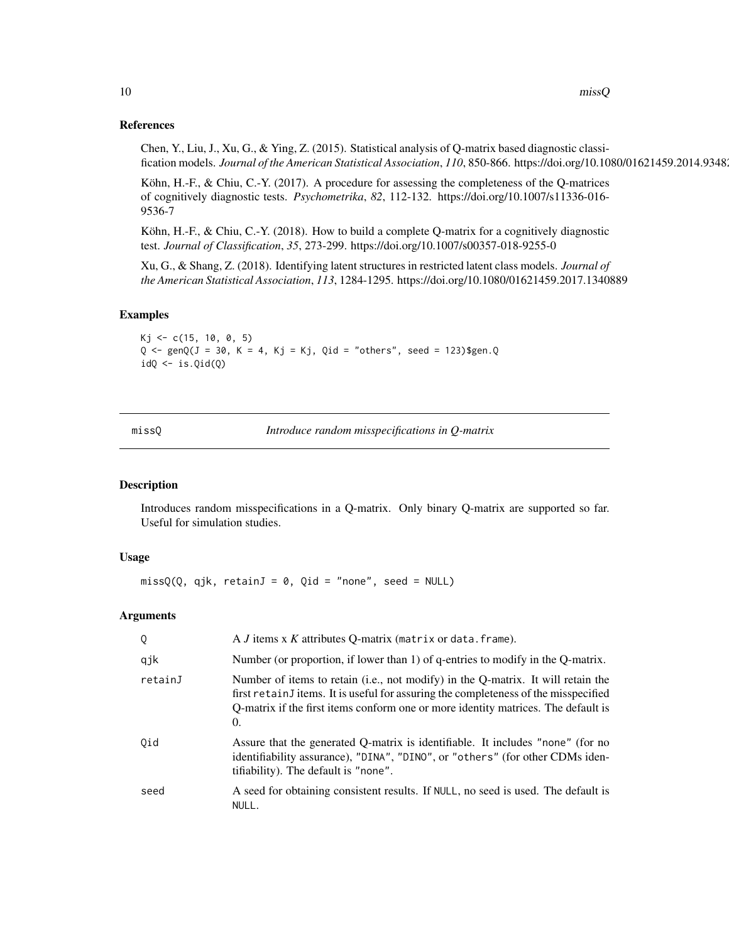## References

Chen, Y., Liu, J., Xu, G., & Ying, Z. (2015). Statistical analysis of Q-matrix based diagnostic classification models. *Journal of the American Statistical Association*, *110*, 850-866. https://doi.org/10.1080/01621459.2014.934827

Köhn, H.-F., & Chiu, C.-Y. (2017). A procedure for assessing the completeness of the Q-matrices of cognitively diagnostic tests. *Psychometrika*, *82*, 112-132. https://doi.org/10.1007/s11336-016- 9536-7

Köhn, H.-F., & Chiu, C.-Y. (2018). How to build a complete Q-matrix for a cognitively diagnostic test. *Journal of Classification*, *35*, 273-299. https://doi.org/10.1007/s00357-018-9255-0

Xu, G., & Shang, Z. (2018). Identifying latent structures in restricted latent class models. *Journal of the American Statistical Association*, *113*, 1284-1295. https://doi.org/10.1080/01621459.2017.1340889

## Examples

 $Kj \leq -c(15, 10, 0, 5)$  $Q \leq -$  gen $Q(J = 30, K = 4, Kj = Kj, Qid = "others", seed = 123)$ \$gen.Q  $idQ \leftarrow is.Qid(Q)$ 

missQ *Introduce random misspecifications in Q-matrix*

## **Description**

Introduces random misspecifications in a Q-matrix. Only binary Q-matrix are supported so far. Useful for simulation studies.

## Usage

 $missQ(Q, qjk, retainJ = 0, Qid = "none", seed = NULL)$ 

| Q       | A <i>J</i> items x <i>K</i> attributes Q-matrix (matrix or data. frame).                                                                                                                                                                                                   |
|---------|----------------------------------------------------------------------------------------------------------------------------------------------------------------------------------------------------------------------------------------------------------------------------|
| qjk     | Number (or proportion, if lower than 1) of q-entries to modify in the Q-matrix.                                                                                                                                                                                            |
| retainJ | Number of items to retain (i.e., not modify) in the Q-matrix. It will retain the<br>first retain fitems. It is useful for assuring the completeness of the misspecified<br>Q-matrix if the first items conform one or more identity matrices. The default is<br>$\theta$ . |
| Oid     | Assure that the generated Q-matrix is identifiable. It includes "none" (for no<br>identifiability assurance), "DINA", "DINO", or "others" (for other CDMs iden-<br>tifiability). The default is "none".                                                                    |
| seed    | A seed for obtaining consistent results. If NULL, no seed is used. The default is<br>NULL.                                                                                                                                                                                 |

<span id="page-9-0"></span>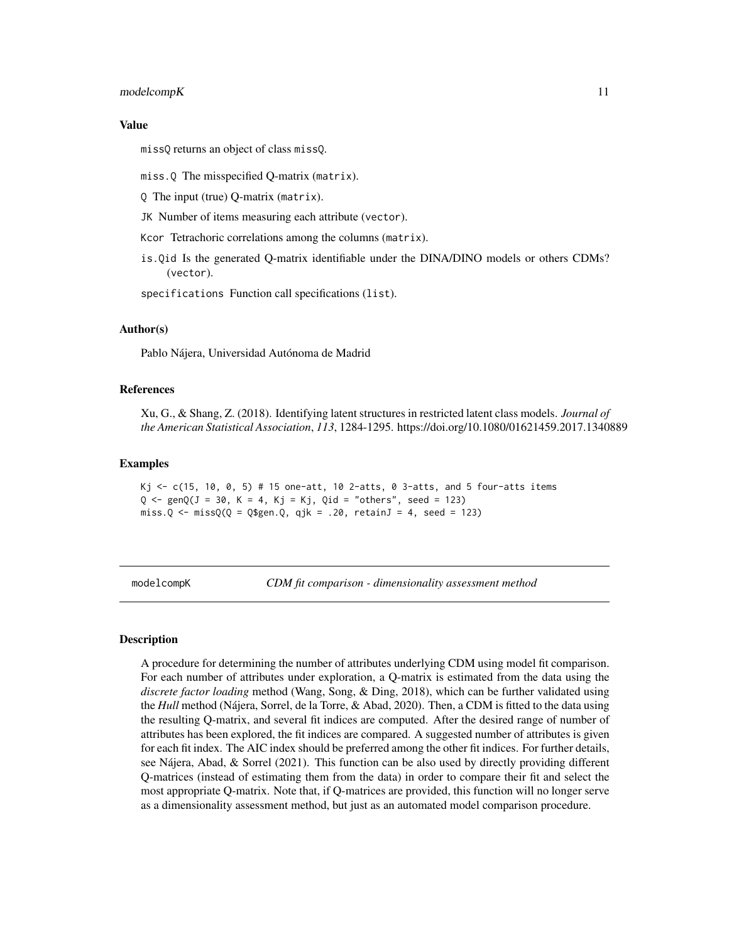#### <span id="page-10-0"></span>modelcompK 11

#### Value

missQ returns an object of class missQ.

miss.Q The misspecified Q-matrix (matrix).

Q The input (true) Q-matrix (matrix).

JK Number of items measuring each attribute (vector).

Kcor Tetrachoric correlations among the columns (matrix).

is.Qid Is the generated Q-matrix identifiable under the DINA/DINO models or others CDMs? (vector).

specifications Function call specifications (list).

## Author(s)

Pablo Nájera, Universidad Autónoma de Madrid

## References

Xu, G., & Shang, Z. (2018). Identifying latent structures in restricted latent class models. *Journal of the American Statistical Association*, *113*, 1284-1295. https://doi.org/10.1080/01621459.2017.1340889

#### Examples

```
Kj \le c(15, 10, 0, 5) # 15 one-att, 10 2-atts, 0 3-atts, and 5 four-atts items
Q \leftarrow \text{gen}Q(J = 30, K = 4, Kj = Kj, Qid = "others", seed = 123)miss.Q \leftarrow missQ(Q = Q$gen.Q, qjk = .20, retainJ = 4, seed = 123)
```
modelcompK *CDM fit comparison - dimensionality assessment method*

## **Description**

A procedure for determining the number of attributes underlying CDM using model fit comparison. For each number of attributes under exploration, a Q-matrix is estimated from the data using the *discrete factor loading* method (Wang, Song, & Ding, 2018), which can be further validated using the *Hull* method (Nájera, Sorrel, de la Torre, & Abad, 2020). Then, a CDM is fitted to the data using the resulting Q-matrix, and several fit indices are computed. After the desired range of number of attributes has been explored, the fit indices are compared. A suggested number of attributes is given for each fit index. The AIC index should be preferred among the other fit indices. For further details, see Nájera, Abad, & Sorrel (2021). This function can be also used by directly providing different Q-matrices (instead of estimating them from the data) in order to compare their fit and select the most appropriate Q-matrix. Note that, if Q-matrices are provided, this function will no longer serve as a dimensionality assessment method, but just as an automated model comparison procedure.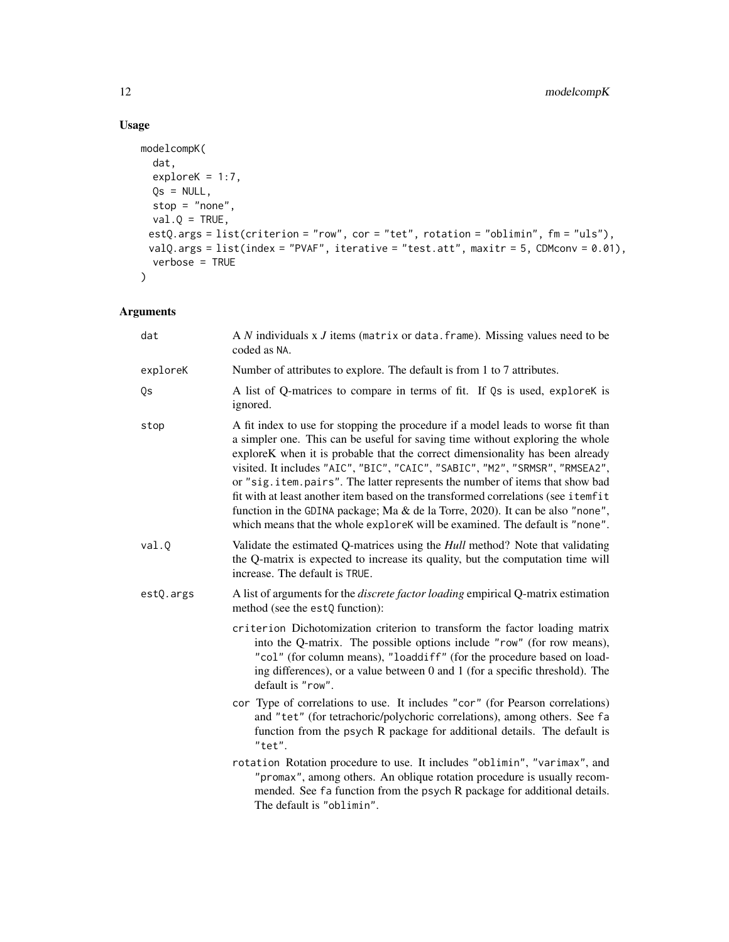```
modelcompK(
  dat,
  exploreK = 1:7,Qs = NULL,stop = "none",
 val.Q = TRUE,estQ.args = list(criterion = "row", cor = "tet", rotation = "oblimin", fm = "uls"),
 valQ.args = list(index = "PVAF", iterative = "test.att", maxitr = 5, CDMconv = 0.01),
  verbose = TRUE
\mathcal{L}
```

| dat       | A $N$ individuals x $J$ items (matrix or data. frame). Missing values need to be<br>coded as NA.                                                                                                                                                                                                                                                                                                                                                                                                                                                                                                                                                                          |
|-----------|---------------------------------------------------------------------------------------------------------------------------------------------------------------------------------------------------------------------------------------------------------------------------------------------------------------------------------------------------------------------------------------------------------------------------------------------------------------------------------------------------------------------------------------------------------------------------------------------------------------------------------------------------------------------------|
| exploreK  | Number of attributes to explore. The default is from 1 to 7 attributes.                                                                                                                                                                                                                                                                                                                                                                                                                                                                                                                                                                                                   |
| Qs        | A list of Q-matrices to compare in terms of fit. If Qs is used, explorek is<br>ignored.                                                                                                                                                                                                                                                                                                                                                                                                                                                                                                                                                                                   |
| stop      | A fit index to use for stopping the procedure if a model leads to worse fit than<br>a simpler one. This can be useful for saving time without exploring the whole<br>exploreK when it is probable that the correct dimensionality has been already<br>visited. It includes "AIC", "BIC", "CAIC", "SABIC", "M2", "SRMSR", "RMSEA2",<br>or "sig.item.pairs". The latter represents the number of items that show bad<br>fit with at least another item based on the transformed correlations (see itemfit<br>function in the GDINA package; Ma & de la Torre, 2020). It can be also "none",<br>which means that the whole exploreK will be examined. The default is "none". |
| val.Q     | Validate the estimated Q-matrices using the <i>Hull</i> method? Note that validating<br>the Q-matrix is expected to increase its quality, but the computation time will<br>increase. The default is TRUE.                                                                                                                                                                                                                                                                                                                                                                                                                                                                 |
| estQ.args | A list of arguments for the <i>discrete factor loading</i> empirical Q-matrix estimation<br>method (see the estQ function):                                                                                                                                                                                                                                                                                                                                                                                                                                                                                                                                               |
|           | criterion Dichotomization criterion to transform the factor loading matrix<br>into the Q-matrix. The possible options include "row" (for row means),<br>"col" (for column means), "loaddiff" (for the procedure based on load-<br>ing differences), or a value between 0 and 1 (for a specific threshold). The<br>default is "row".                                                                                                                                                                                                                                                                                                                                       |
|           | cor Type of correlations to use. It includes "cor" (for Pearson correlations)<br>and "tet" (for tetrachoric/polychoric correlations), among others. See fa<br>function from the psych R package for additional details. The default is<br>"tet".                                                                                                                                                                                                                                                                                                                                                                                                                          |
|           | rotation Rotation procedure to use. It includes "oblimin", "varimax", and<br>"promax", among others. An oblique rotation procedure is usually recom-<br>mended. See fa function from the psych R package for additional details.<br>The default is "oblimin".                                                                                                                                                                                                                                                                                                                                                                                                             |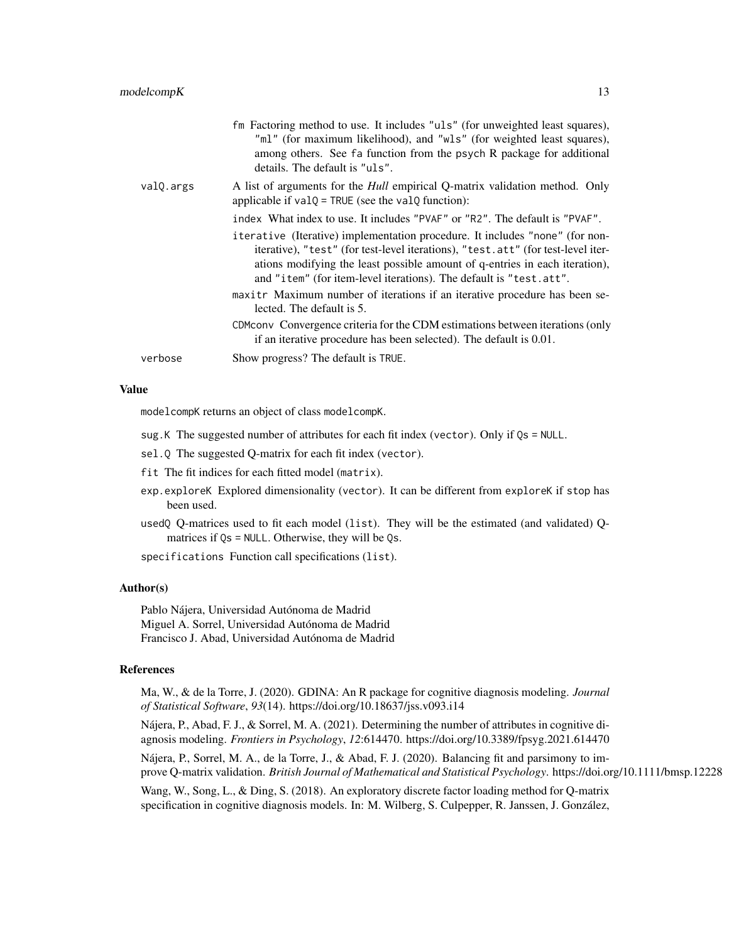|           | fm Factoring method to use. It includes "uls" (for unweighted least squares),<br>"ml" (for maximum likelihood), and "wls" (for weighted least squares),<br>among others. See fa function from the psych R package for additional<br>details. The default is "uls".                                                    |
|-----------|-----------------------------------------------------------------------------------------------------------------------------------------------------------------------------------------------------------------------------------------------------------------------------------------------------------------------|
| valQ.args | A list of arguments for the <i>Hull</i> empirical Q-matrix validation method. Only<br>applicable if $valQ = TRUE$ (see the $valQ$ function):                                                                                                                                                                          |
|           | index What index to use. It includes "PVAF" or "R2". The default is "PVAF".                                                                                                                                                                                                                                           |
|           | iterative (Iterative) implementation procedure. It includes "none" (for non-<br>iterative), "test" (for test-level iterations), "test.att" (for test-level iter-<br>ations modifying the least possible amount of q-entries in each iteration),<br>and "item" (for item-level iterations). The default is "test.att". |
|           | maxitr Maximum number of iterations if an iterative procedure has been se-<br>lected. The default is 5.                                                                                                                                                                                                               |
|           | CDM convergence criteria for the CDM estimations between iterations (only<br>if an iterative procedure has been selected). The default is 0.01.                                                                                                                                                                       |
| verbose   | Show progress? The default is TRUE.                                                                                                                                                                                                                                                                                   |
|           |                                                                                                                                                                                                                                                                                                                       |

### Value

modelcompK returns an object of class modelcompK.

- sug.K The suggested number of attributes for each fit index (vector). Only if Qs = NULL.
- sel.Q The suggested Q-matrix for each fit index (vector).
- fit The fit indices for each fitted model (matrix).
- exp.exploreK Explored dimensionality (vector). It can be different from exploreK if stop has been used.
- usedQ Q-matrices used to fit each model (list). They will be the estimated (and validated) Qmatrices if Qs = NULL. Otherwise, they will be Qs.

specifications Function call specifications (list).

## Author(s)

Pablo Nájera, Universidad Autónoma de Madrid Miguel A. Sorrel, Universidad Autónoma de Madrid Francisco J. Abad, Universidad Autónoma de Madrid

#### References

Ma, W., & de la Torre, J. (2020). GDINA: An R package for cognitive diagnosis modeling. *Journal of Statistical Software*, *93*(14). https://doi.org/10.18637/jss.v093.i14

Nájera, P., Abad, F. J., & Sorrel, M. A. (2021). Determining the number of attributes in cognitive diagnosis modeling. *Frontiers in Psychology*, *12*:614470. https://doi.org/10.3389/fpsyg.2021.614470

Nájera, P., Sorrel, M. A., de la Torre, J., & Abad, F. J. (2020). Balancing fit and parsimony to improve Q-matrix validation. *British Journal of Mathematical and Statistical Psychology*. https://doi.org/10.1111/bmsp.12228

Wang, W., Song, L., & Ding, S. (2018). An exploratory discrete factor loading method for Q-matrix specification in cognitive diagnosis models. In: M. Wilberg, S. Culpepper, R. Janssen, J. González,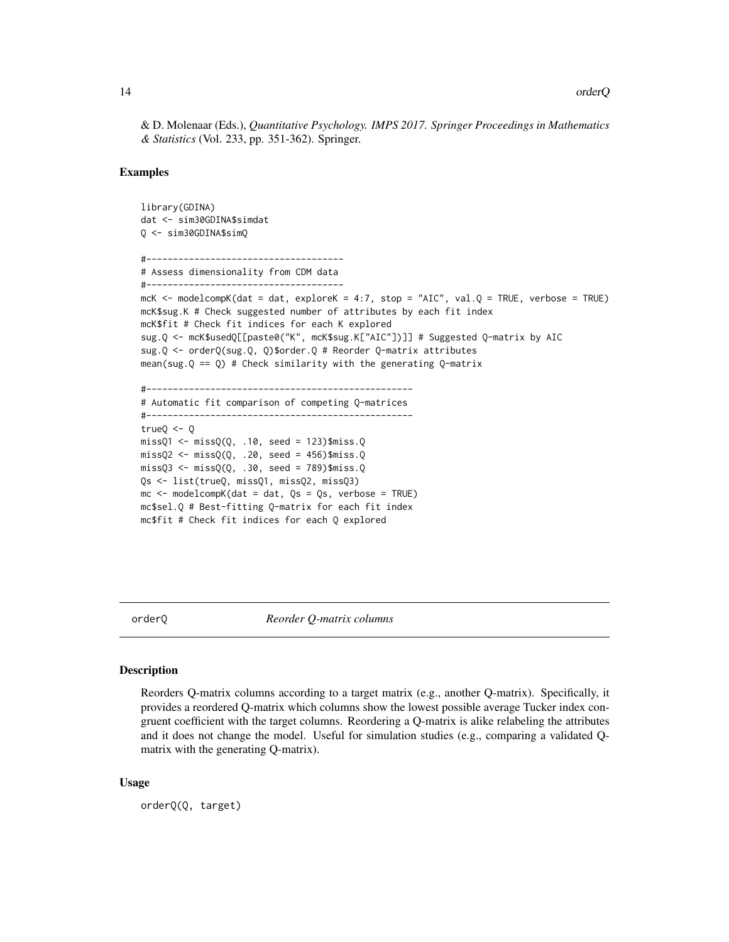<span id="page-13-0"></span>& D. Molenaar (Eds.), *Quantitative Psychology. IMPS 2017. Springer Proceedings in Mathematics & Statistics* (Vol. 233, pp. 351-362). Springer.

#### Examples

```
library(GDINA)
dat <- sim30GDINA$simdat
Q <- sim30GDINA$simQ
#-------------------------------------
# Assess dimensionality from CDM data
#-------------------------------------
mcK <- modelcompK(dat = dat, exploreK = 4:7, stop = "AIC", val.Q = TRUE, verbose = TRUE)
mcK$sug.K # Check suggested number of attributes by each fit index
mcK$fit # Check fit indices for each K explored
sug.Q <- mcK$usedQ[[paste0("K", mcK$sug.K["AIC"])]] # Suggested Q-matrix by AIC
sug.Q <- orderQ(sug.Q, Q)$order.Q # Reorder Q-matrix attributes
mean(sug.Q == Q) # Check similarity with the generating Q-matrix
#--------------------------------------------------
# Automatic fit comparison of competing Q-matrices
#--------------------------------------------------
true0 < -0missQ1 \leq -missQ(Q, .10, seed = 123)$miss.Q
missQ2 \leftarrow missQ(Q, .20, seed = 456)$miss.Q
missQ3 \leq -missQ(Q, .30, seed = 789)$miss.Q
Qs <- list(trueQ, missQ1, missQ2, missQ3)
mc \le modelcompK(dat = dat, Qs = Qs, verbose = TRUE)
mc$sel.Q # Best-fitting Q-matrix for each fit index
mc$fit # Check fit indices for each Q explored
```
orderQ *Reorder Q-matrix columns*

#### Description

Reorders Q-matrix columns according to a target matrix (e.g., another Q-matrix). Specifically, it provides a reordered Q-matrix which columns show the lowest possible average Tucker index congruent coefficient with the target columns. Reordering a Q-matrix is alike relabeling the attributes and it does not change the model. Useful for simulation studies (e.g., comparing a validated Qmatrix with the generating Q-matrix).

#### Usage

orderQ(Q, target)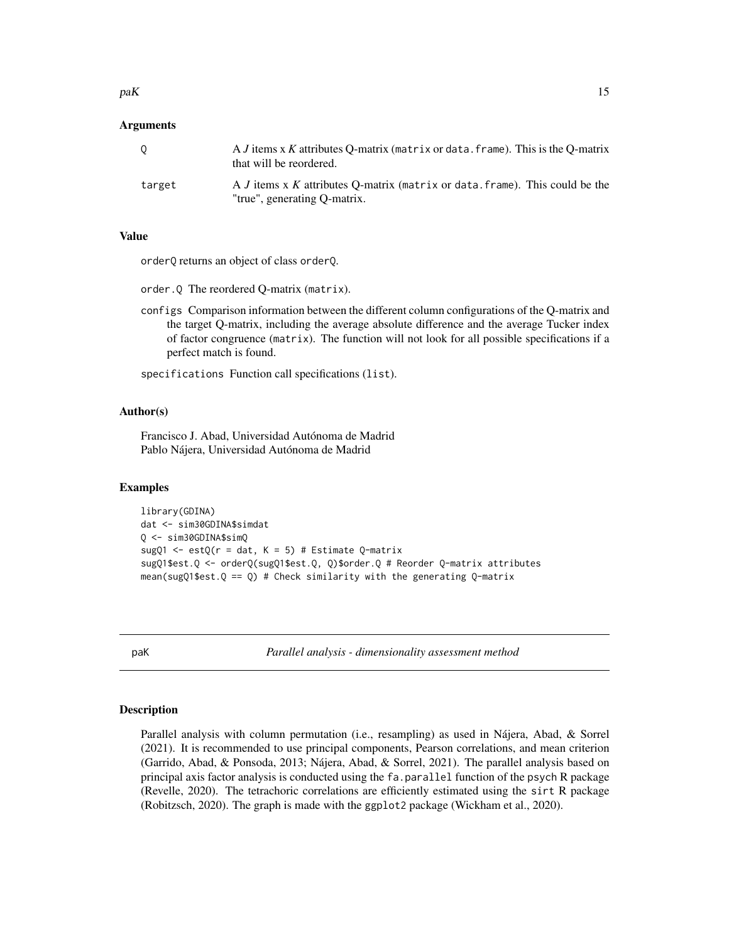#### <span id="page-14-0"></span> $p$ aK 15

## Arguments

|        | A <i>J</i> items x <i>K</i> attributes O-matrix (matrix or data, frame). This is the O-matrix<br>that will be reordered.   |
|--------|----------------------------------------------------------------------------------------------------------------------------|
| target | A <i>J</i> items x <i>K</i> attributes O-matrix (matrix or data, frame). This could be the<br>"true", generating Q-matrix. |

## Value

orderQ returns an object of class orderQ.

order.Q The reordered Q-matrix (matrix).

configs Comparison information between the different column configurations of the Q-matrix and the target Q-matrix, including the average absolute difference and the average Tucker index of factor congruence (matrix). The function will not look for all possible specifications if a perfect match is found.

specifications Function call specifications (list).

## Author(s)

Francisco J. Abad, Universidad Autónoma de Madrid Pablo Nájera, Universidad Autónoma de Madrid

## Examples

```
library(GDINA)
dat <- sim30GDINA$simdat
Q <- sim30GDINA$simQ
sugQ1 <- estQ(r = dat, K = 5) # Estimate Q-matrix
sugQ1$est.Q <- orderQ(sugQ1$est.Q, Q)$order.Q # Reorder Q-matrix attributes
mean(sugQ1$est.Q == Q) # Check similarity with the generating Q-matrix
```
paK *Parallel analysis - dimensionality assessment method*

## **Description**

Parallel analysis with column permutation (i.e., resampling) as used in Nájera, Abad, & Sorrel (2021). It is recommended to use principal components, Pearson correlations, and mean criterion (Garrido, Abad, & Ponsoda, 2013; Nájera, Abad, & Sorrel, 2021). The parallel analysis based on principal axis factor analysis is conducted using the fa.parallel function of the psych R package (Revelle, 2020). The tetrachoric correlations are efficiently estimated using the sirt R package (Robitzsch, 2020). The graph is made with the ggplot2 package (Wickham et al., 2020).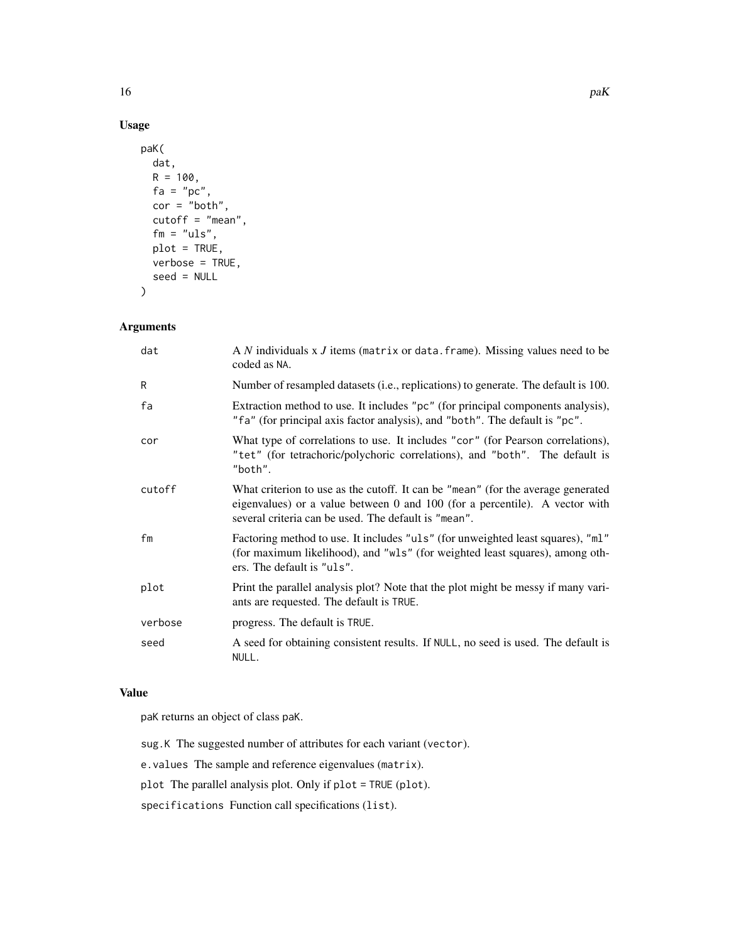```
paK(
  dat,
  R = 100,fa = "pc",cor = "both",
  cutoff = "mean",
  fm = "uls",plot = TRUE,
  verbose = TRUE,
  seed = NULL
\mathcal{L}
```
## Arguments

| dat     | A $N$ individuals x $J$ items (matrix or data. frame). Missing values need to be<br>coded as NA.                                                                                                                        |
|---------|-------------------------------------------------------------------------------------------------------------------------------------------------------------------------------------------------------------------------|
| R       | Number of resampled datasets (i.e., replications) to generate. The default is 100.                                                                                                                                      |
| fa      | Extraction method to use. It includes "pc" (for principal components analysis),<br>"fa" (for principal axis factor analysis), and "both". The default is "pc".                                                          |
| cor     | What type of correlations to use. It includes "cor" (for Pearson correlations),<br>"tet" (for tetrachoric/polychoric correlations), and "both". The default is<br>"both".                                               |
| cutoff  | What criterion to use as the cutoff. It can be "mean" (for the average generated<br>eigenvalues) or a value between 0 and 100 (for a percentile). A vector with<br>several criteria can be used. The default is "mean". |
| fm      | Factoring method to use. It includes "uls" (for unweighted least squares), "ml"<br>(for maximum likelihood), and "wls" (for weighted least squares), among oth-<br>ers. The default is "uls".                           |
| plot    | Print the parallel analysis plot? Note that the plot might be messy if many vari-<br>ants are requested. The default is TRUE.                                                                                           |
| verbose | progress. The default is TRUE.                                                                                                                                                                                          |
| seed    | A seed for obtaining consistent results. If NULL, no seed is used. The default is<br>NULL.                                                                                                                              |

## Value

paK returns an object of class paK.

sug.K The suggested number of attributes for each variant (vector).

e.values The sample and reference eigenvalues (matrix).

plot The parallel analysis plot. Only if plot = TRUE (plot).

specifications Function call specifications (list).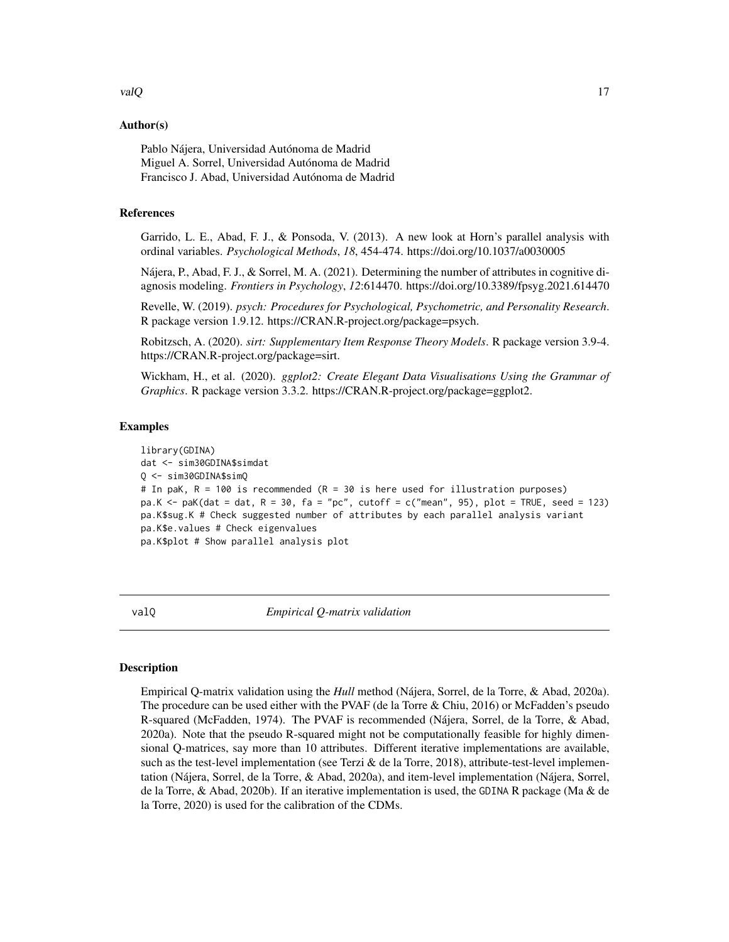## <span id="page-16-0"></span>valQ and 17 and 17 and 17 and 17 and 17 and 17 and 17 and 17 and 17 and 17 and 17 and 17 and 17 and 17 and 17 and 17 and 17 and 17 and 17 and 17 and 17 and 17 and 17 and 17 and 17 and 17 and 17 and 17 and 17 and 17 and 17

#### Author(s)

Pablo Nájera, Universidad Autónoma de Madrid Miguel A. Sorrel, Universidad Autónoma de Madrid Francisco J. Abad, Universidad Autónoma de Madrid

## References

Garrido, L. E., Abad, F. J., & Ponsoda, V. (2013). A new look at Horn's parallel analysis with ordinal variables. *Psychological Methods*, *18*, 454-474. https://doi.org/10.1037/a0030005

Nájera, P., Abad, F. J., & Sorrel, M. A. (2021). Determining the number of attributes in cognitive diagnosis modeling. *Frontiers in Psychology*, *12*:614470. https://doi.org/10.3389/fpsyg.2021.614470

Revelle, W. (2019). *psych: Procedures for Psychological, Psychometric, and Personality Research*. R package version 1.9.12. https://CRAN.R-project.org/package=psych.

Robitzsch, A. (2020). *sirt: Supplementary Item Response Theory Models*. R package version 3.9-4. https://CRAN.R-project.org/package=sirt.

Wickham, H., et al. (2020). *ggplot2: Create Elegant Data Visualisations Using the Grammar of Graphics*. R package version 3.3.2. https://CRAN.R-project.org/package=ggplot2.

## Examples

```
library(GDINA)
dat <- sim30GDINA$simdat
Q <- sim30GDINA$simQ
# In paK, R = 100 is recommended (R = 30 is here used for illustration purposes)
pa.K \le - paK(dat = dat, R = 30, fa = "pc", cutoff = c("mean", 95), plot = TRUE, seed = 123)
pa.K$sug.K # Check suggested number of attributes by each parallel analysis variant
pa.K$e.values # Check eigenvalues
pa.K$plot # Show parallel analysis plot
```
valQ *Empirical Q-matrix validation*

## Description

Empirical Q-matrix validation using the *Hull* method (Nájera, Sorrel, de la Torre, & Abad, 2020a). The procedure can be used either with the PVAF (de la Torre & Chiu, 2016) or McFadden's pseudo R-squared (McFadden, 1974). The PVAF is recommended (Nájera, Sorrel, de la Torre, & Abad, 2020a). Note that the pseudo R-squared might not be computationally feasible for highly dimensional Q-matrices, say more than 10 attributes. Different iterative implementations are available, such as the test-level implementation (see Terzi  $\&$  de la Torre, 2018), attribute-test-level implementation (Nájera, Sorrel, de la Torre, & Abad, 2020a), and item-level implementation (Nájera, Sorrel, de la Torre, & Abad, 2020b). If an iterative implementation is used, the GDINA R package (Ma & de la Torre, 2020) is used for the calibration of the CDMs.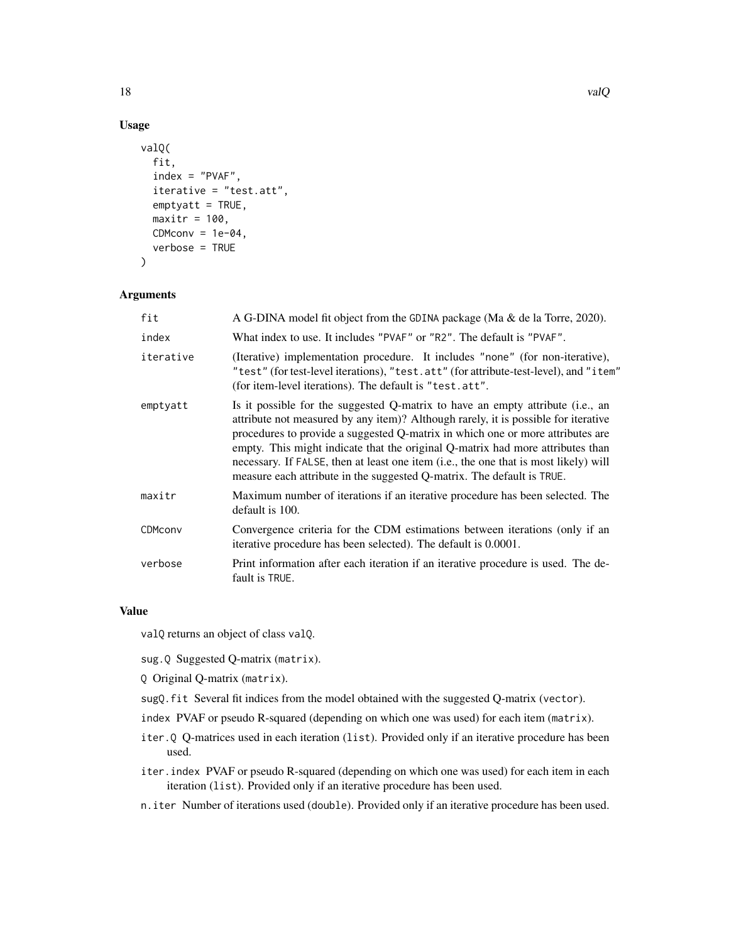```
valQ(
  fit,
  index = "PVAF",
  iterative = "test.att",
  emptyatt = TRUE,
  maxitr = 100,
 CDMconv = 1e-04,
  verbose = TRUE
)
```
## Arguments

| fit       | A G-DINA model fit object from the GDINA package (Ma $\&$ de la Torre, 2020).                                                                                                                                                                                                                                                                                                                                                                                                                              |
|-----------|------------------------------------------------------------------------------------------------------------------------------------------------------------------------------------------------------------------------------------------------------------------------------------------------------------------------------------------------------------------------------------------------------------------------------------------------------------------------------------------------------------|
| index     | What index to use. It includes "PVAF" or "R2". The default is "PVAF".                                                                                                                                                                                                                                                                                                                                                                                                                                      |
| iterative | (Iterative) implementation procedure. It includes "none" (for non-iterative),<br>"test" (for test-level iterations), "test.att" (for attribute-test-level), and "item"<br>(for item-level iterations). The default is "test.att".                                                                                                                                                                                                                                                                          |
| emptyatt  | Is it possible for the suggested Q-matrix to have an empty attribute (i.e., an<br>attribute not measured by any item)? Although rarely, it is possible for iterative<br>procedures to provide a suggested Q-matrix in which one or more attributes are<br>empty. This might indicate that the original Q-matrix had more attributes than<br>necessary. If FALSE, then at least one item (i.e., the one that is most likely) will<br>measure each attribute in the suggested Q-matrix. The default is TRUE. |
| maxitr    | Maximum number of iterations if an iterative procedure has been selected. The<br>default is 100.                                                                                                                                                                                                                                                                                                                                                                                                           |
| CDMconv   | Convergence criteria for the CDM estimations between iterations (only if an<br>iterative procedure has been selected). The default is 0.0001.                                                                                                                                                                                                                                                                                                                                                              |
| verbose   | Print information after each iteration if an iterative procedure is used. The de-<br>fault is TRUE.                                                                                                                                                                                                                                                                                                                                                                                                        |
|           |                                                                                                                                                                                                                                                                                                                                                                                                                                                                                                            |

## Value

valQ returns an object of class valQ.

sug.Q Suggested Q-matrix (matrix).

Q Original Q-matrix (matrix).

- sugQ.fit Several fit indices from the model obtained with the suggested Q-matrix (vector).
- index PVAF or pseudo R-squared (depending on which one was used) for each item (matrix).
- iter.Q Q-matrices used in each iteration (list). Provided only if an iterative procedure has been used.
- iter.index PVAF or pseudo R-squared (depending on which one was used) for each item in each iteration (list). Provided only if an iterative procedure has been used.
- n.iter Number of iterations used (double). Provided only if an iterative procedure has been used.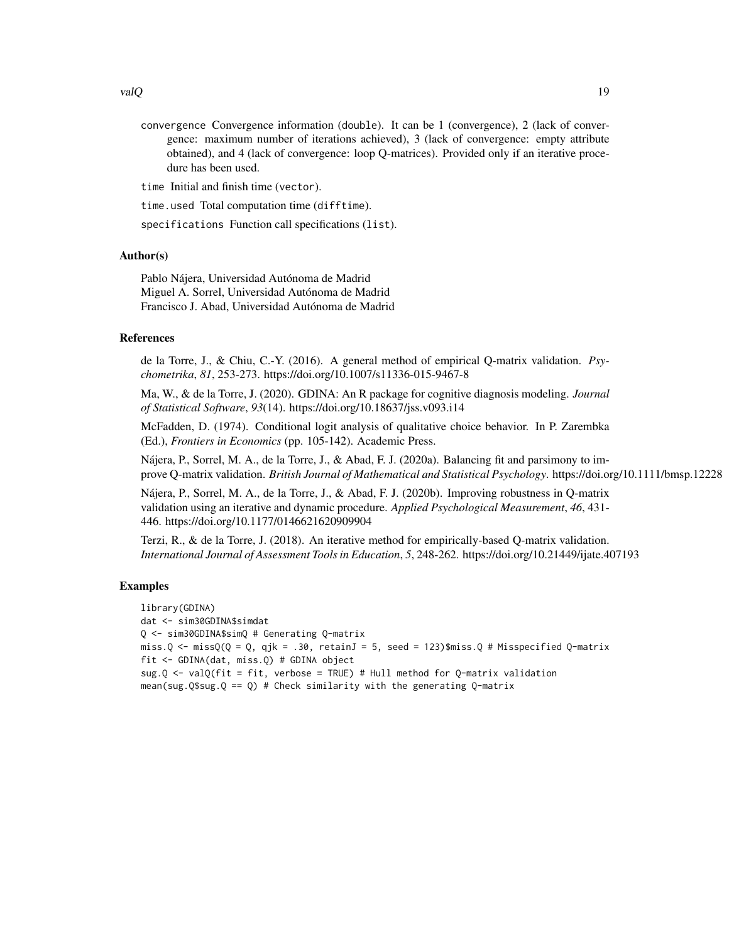convergence Convergence information (double). It can be 1 (convergence), 2 (lack of convergence: maximum number of iterations achieved), 3 (lack of convergence: empty attribute obtained), and 4 (lack of convergence: loop Q-matrices). Provided only if an iterative procedure has been used.

time Initial and finish time (vector).

time.used Total computation time (difftime).

specifications Function call specifications (list).

## Author(s)

Pablo Nájera, Universidad Autónoma de Madrid Miguel A. Sorrel, Universidad Autónoma de Madrid Francisco J. Abad, Universidad Autónoma de Madrid

## References

de la Torre, J., & Chiu, C.-Y. (2016). A general method of empirical Q-matrix validation. *Psychometrika*, *81*, 253-273. https://doi.org/10.1007/s11336-015-9467-8

Ma, W., & de la Torre, J. (2020). GDINA: An R package for cognitive diagnosis modeling. *Journal of Statistical Software*, *93*(14). https://doi.org/10.18637/jss.v093.i14

McFadden, D. (1974). Conditional logit analysis of qualitative choice behavior. In P. Zarembka (Ed.), *Frontiers in Economics* (pp. 105-142). Academic Press.

Nájera, P., Sorrel, M. A., de la Torre, J., & Abad, F. J. (2020a). Balancing fit and parsimony to improve Q-matrix validation. *British Journal of Mathematical and Statistical Psychology*. https://doi.org/10.1111/bmsp.12228

Nájera, P., Sorrel, M. A., de la Torre, J., & Abad, F. J. (2020b). Improving robustness in Q-matrix validation using an iterative and dynamic procedure. *Applied Psychological Measurement*, *46*, 431- 446. https://doi.org/10.1177/0146621620909904

Terzi, R., & de la Torre, J. (2018). An iterative method for empirically-based Q-matrix validation. *International Journal of Assessment Tools in Education*, *5*, 248-262. https://doi.org/10.21449/ijate.407193

## Examples

```
library(GDINA)
dat <- sim30GDINA$simdat
Q <- sim30GDINA$simQ # Generating Q-matrix
miss.Q \le missQ(Q = Q, qjk = .30, retainJ = 5, seed = 123)$miss.Q # Misspecified Q-matrix
fit <- GDINA(dat, miss.Q) # GDINA object
sug.Q <- valQ(fit = fit, verbose = TRUE) # Hull method for Q-matrix validation
mean(sug.Q$sug.Q == Q) # Check similarity with the generating Q-matrix
```